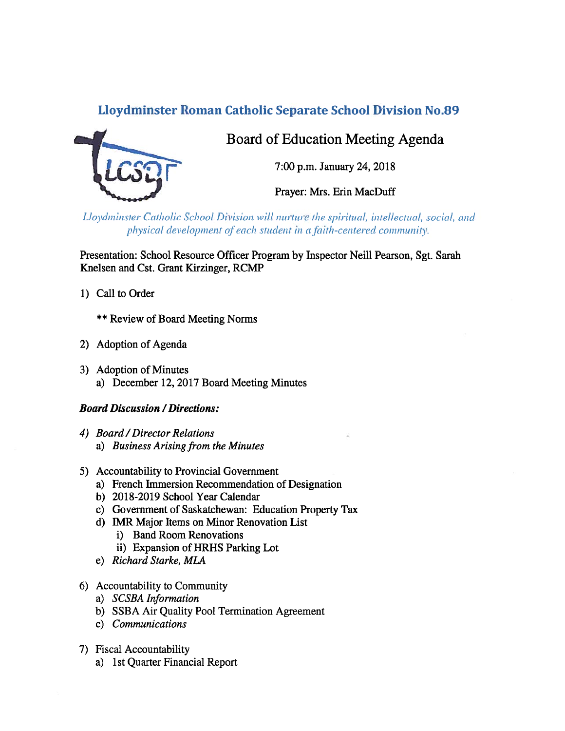# Lloydminster Roman Catholic Separate School Division No.89



Board of Education Meeting Agenda

7:00 p.m. January 24, 2012

Prayer: Mrs. Erin MacDuff

Lloydminster Catholic School Division will nurture the spiritual, intellectual, social, and physical development of each student in a faith-centered community.

Presentation: School Resource Officer Program by Inspector Neill Pearson, Sgt. Sarah Knelsen and Cst. Grant Kirzinger, RCMP

1) Call to Order

\*\* Review of Board Meeting Norms

- 2) Adoption of Agenda
- 3) Adoption of Minutes a) December 12, 2017 Board Meeting Minutes

### Board Discussion /Directions:

- 4) Board/Director Relations a) Business Arising from the Minutes
- 5) Accountability to Provincial Government
	- a) French Immersion Recommendation of Designation
	- b) 2018-2019 School Year Calendar
	- c) Government of Saskatchewan: Education Property Tax
	- d) IMR Major Items on Minor Renovation List
		- i) Band Room Renovations
		- ii) Expansion of HRHS Parking Lot
	- e) Richard Starke, MLA
- 6) Accountability to Community
	- a) SCSBA Information
	- b) SSBA Air Quality Pool Termination Agreement
	- c) Communications
- 7) Fiscal Accountability
	- a) 1st Quarter Financial Report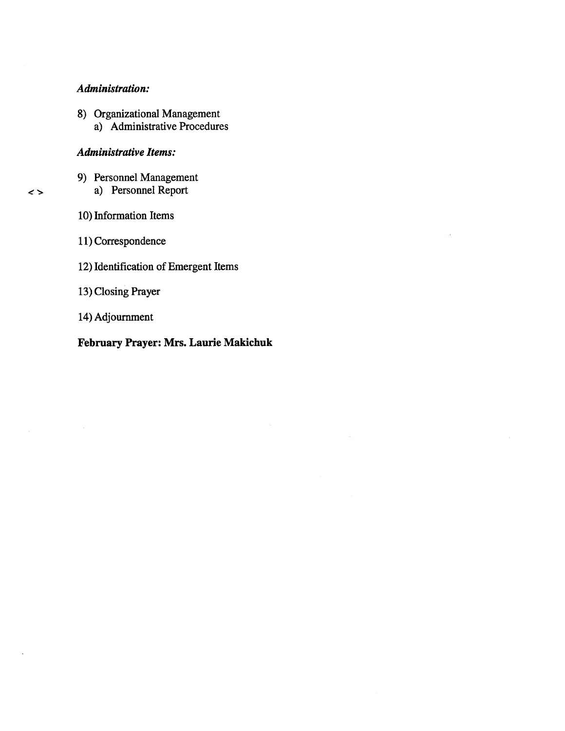#### Administration:

- 8) Organizational Management
	- a) Administrative Procedures

#### Administrative Items:

- 9) Personnel Management a) Personnel Report
- 10) Information Items

 $\rightarrow$ 

- 11) Correspondence
- 12) Identification of Emergent Items
- 13) Closing Prayer
- 14) Adjournment

# February Prayer: Mrs. Laurie Makichuk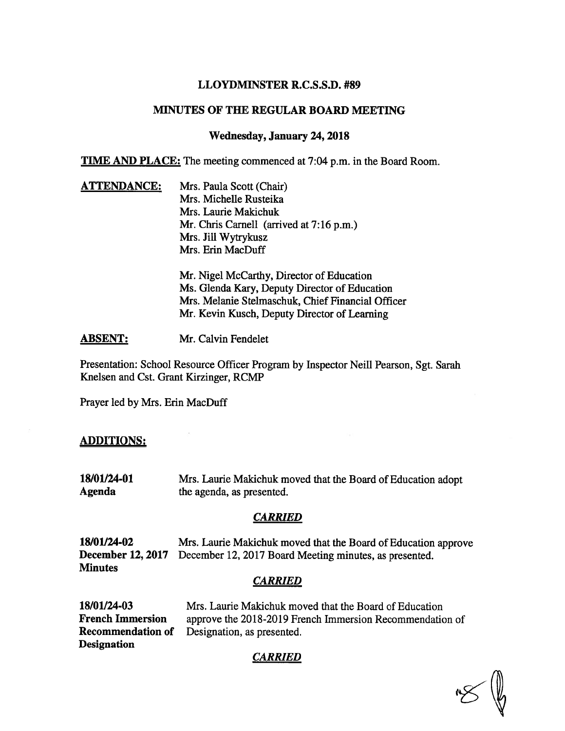### LLOYDMINSTER R.C.S.S.D. #89

#### MINUTES OF THE REGULAR BOARD MEETING

### Wednesday, January 24, 2018

TIME AND PLACE: The meeting commenced at 7:04 p.m. in the Board Room.

**ATTENDANCE:** Mrs. Paula Scott (Chair) Mrs. Michelle Rusteika Mrs. Laurie Makichuk Mr. Chris Carnell (arrived at 7:16 p.m.) Mrs. Jill Wytrykusz Mrs. Erin MacDuff Mr. Nigel McCarthy, Director of Education

Ms. Glenda Kary, Deputy Director of Education Mrs. Melanie Stelmaschuk, Chief Financial Officer Mr. Kevin Kusch, Deputy Director of Learning

ABSENT: Mr. Calvin Fendelet

Presentation: School Resource Officer Program by Inspector Neill Pearson, Sgt. Sarah Knelsen and Cst. Grant Kirzinger, RCMP

Prayer led by Mrs. Erin MacDuff

### ADDITIONS:

18/01/24-01 Mrs. Laurie Makichuk moved that the Board of Education adopt Agenda the agenda, as presented.

### **CARRIED**

18/01/24-02 Mrs. Laurie Makichuk moved that the Board of Education approve December 12, 2017 December 12, 2017 Board Meeting minutes, as presented. **Minutes** 

### **CARRIED**

| 18/01/24-03              | Mrs. Laurie Makichuk moved that the Board of Education   |
|--------------------------|----------------------------------------------------------|
| <b>French Immersion</b>  | approve the 2018-2019 French Immersion Recommendation of |
| <b>Recommendation of</b> | Designation, as presented.                               |
| <b>Designation</b>       |                                                          |

## **CARRIED**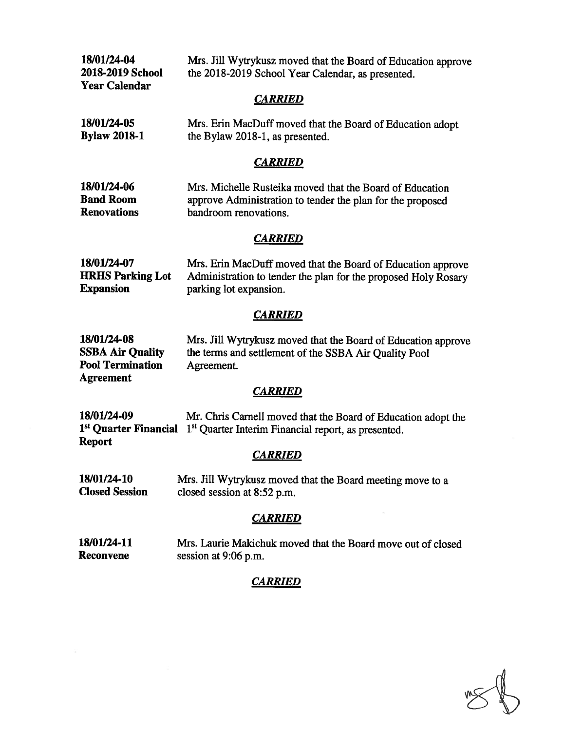18/01/24-04 2018-2019 School Year Calendar

Mrs. Jill Wytrykusz moved that the Board of Education approve the 2018-2019 School Year Calendar, as presented.

#### **CARRIED**

| 18/01/24-05         | Mrs. Erin MacDuff moved that the Board of Education adopt |
|---------------------|-----------------------------------------------------------|
| <b>Bylaw 2018-1</b> | the Bylaw 2018-1, as presented.                           |

#### CARRIED

| 18/01/24-06        | Mrs. Michelle Rusteika moved that the Board of Education   |
|--------------------|------------------------------------------------------------|
| <b>Band Room</b>   | approve Administration to tender the plan for the proposed |
| <b>Renovations</b> | bandroom renovations.                                      |

### **CARRIED**

| 18/01/24-07             | Mrs. Erin MacDuff moved that the Board of Education approve    |
|-------------------------|----------------------------------------------------------------|
| <b>HRHS Parking Lot</b> | Administration to tender the plan for the proposed Holy Rosary |
| <b>Expansion</b>        | parking lot expansion.                                         |

#### **CARRIED**

| 18/01/24-08             | Mrs. Jill Wytrykusz moved that the Board of Education approve |
|-------------------------|---------------------------------------------------------------|
| <b>SSBA Air Quality</b> | the terms and settlement of the SSBA Air Quality Pool         |
| <b>Pool Termination</b> | Agreement.                                                    |
| <b>Agreement</b>        |                                                               |

### **CARRIED**

| 18/01/24-09   | Mr. Chris Carnell moved that the Board of Education adopt the                                     |
|---------------|---------------------------------------------------------------------------------------------------|
|               | 1 <sup>st</sup> Quarter Financial 1 <sup>st</sup> Quarter Interim Financial report, as presented. |
| <b>Report</b> |                                                                                                   |

# **CARRIED**

18/01/24-10 Closed Session Mrs. Jill Wytrykusz moved that the Board meeting move to <sup>a</sup> closed session at 8:52 p.m.

### **CARRIED**

18/01124-11 Reconvene Mrs. Laurie Makichuk moved that the Board move out of closed session at 9:06 p.m.

## **CARRIED**